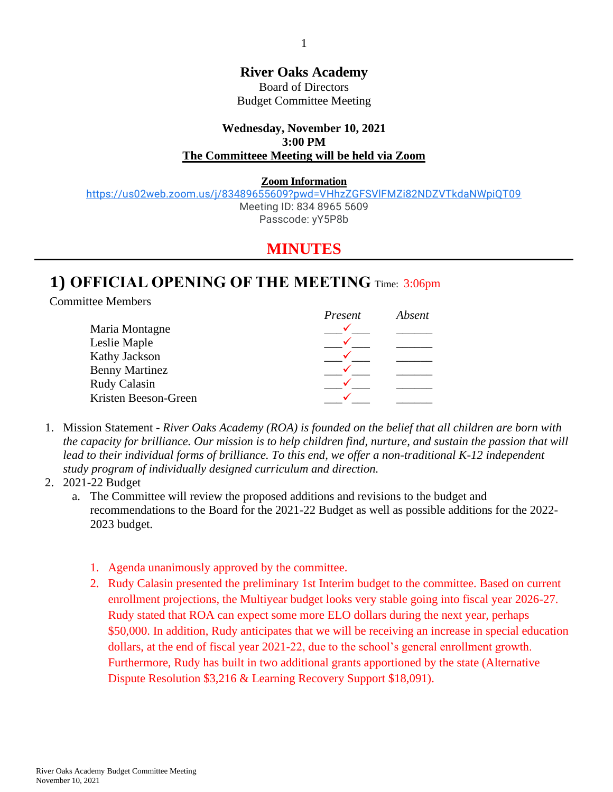#### **River Oaks Academy**

Board of Directors Budget Committee Meeting

#### **Wednesday, November 10, 2021 3:00 PM The Committeee Meeting will be held via Zoom**

**Zoom Information** 

<https://us02web.zoom.us/j/83489655609?pwd=VHhzZGFSVlFMZi82NDZVTkdaNWpiQT09> Meeting ID: 834 8965 5609

Passcode: yY5P8b

# **MINUTES**

# **1) OFFICIAL OPENING OF THE MEETING** Time: 3:06pm

Committee Members

|                       | Present | Absent |
|-----------------------|---------|--------|
| Maria Montagne        |         |        |
| Leslie Maple          |         |        |
| Kathy Jackson         |         |        |
| <b>Benny Martinez</b> |         |        |
| Rudy Calasin          |         |        |
| Kristen Beeson-Green  |         |        |

1. Mission Statement - *River Oaks Academy (ROA) is founded on the belief that all children are born with the capacity for brilliance. Our mission is to help children find, nurture, and sustain the passion that will*  lead to their individual forms of brilliance. To this end, we offer a non-traditional K-12 independent *study program of individually designed curriculum and direction.*

#### 2. 2021-22 Budget

- a. The Committee will review the proposed additions and revisions to the budget and recommendations to the Board for the 2021-22 Budget as well as possible additions for the 2022- 2023 budget.
	- 1. Agenda unanimously approved by the committee.
	- 2. Rudy Calasin presented the preliminary 1st Interim budget to the committee. Based on current enrollment projections, the Multiyear budget looks very stable going into fiscal year 2026-27. Rudy stated that ROA can expect some more ELO dollars during the next year, perhaps \$50,000. In addition, Rudy anticipates that we will be receiving an increase in special education dollars, at the end of fiscal year 2021-22, due to the school's general enrollment growth. Furthermore, Rudy has built in two additional grants apportioned by the state (Alternative Dispute Resolution \$3,216 & Learning Recovery Support \$18,091).

1